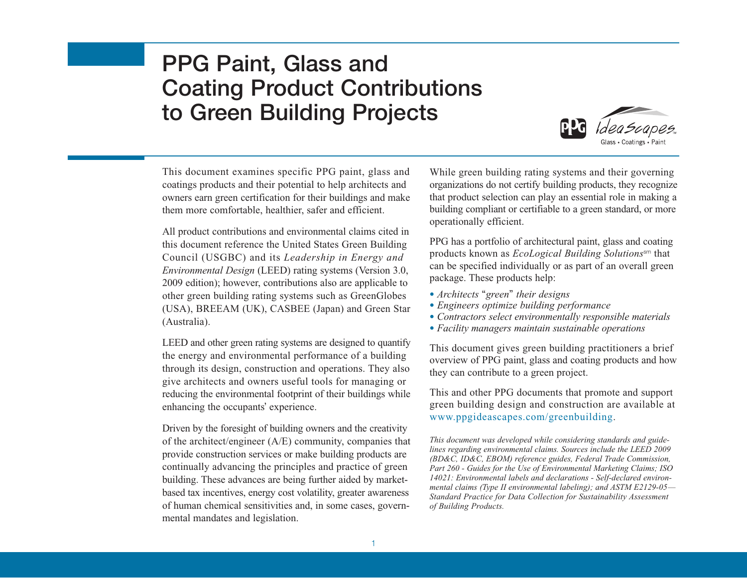# **PPG Paint, Glass and Coating Product Contributions to Green Building Projects**



This document examines specific PPG paint, glass and coatings products and their potential to help architects and owners earn green certification for their buildings and make them more comfortable, healthier, safer and efficient.

All product contributions and environmental claims cited in this document reference the United States Green Building Council (USGBC) and its *Leadership in Energy and Environmental Design* (LEED) rating systems (Version 3.0, 2009 edition); however, contributions also are applicable to other green building rating systems such as GreenGlobes (USA), BREEAM (UK), CASBEE (Japan) and Green Star (Australia).

LEED and other green rating systems are designed to quantify the energy and environmental performance of a building through its design, construction and operations. They also give architects and owners useful tools for managing or reducing the environmental footprint of their buildings while enhancing the occupants' experience.

Driven by the foresight of building owners and the creativity of the architect/engineer (A/E) community, companies that provide construction services or make building products are continually advancing the principles and practice of green building. These advances are being further aided by marketbased tax incentives, energy cost volatility, greater awareness of human chemical sensitivities and, in some cases, governmental mandates and legislation.

While green building rating systems and their governing organizations do not certify building products, they recognize that product selection can play an essential role in making a building compliant or certifiable to a green standard, or more operationally efficient.

PPG has a portfolio of architectural paint, glass and coating products known as *EcoLogical Building Solutions*sm that can be specified individually or as part of an overall green package. These products help:

- *Architects* "*green*" *their designs*
- *Engineers optimize building performance*
- *Contractors select environmentally responsible materials*
- *Facility managers maintain sustainable operations*

This document gives green building practitioners a brief overview of PPG paint, glass and coating products and how they can contribute to a green project.

This and other PPG documents that promote and support green building design and construction are available at www.ppgideascapes.com/greenbuilding.

*This document was developed while considering standards and guidelines regarding environmental claims. Sources include the LEED 2009 (BD&C, ID&C, EBOM) reference guides, Federal Trade Commission, Part 260 - Guides for the Use of Environmental Marketing Claims; ISO 14021: Environmental labels and declarations - Self-declared environmental claims (Type II environmental labeling); and ASTM E2129-05— Standard Practice for Data Collection for Sustainability Assessment of Building Products.*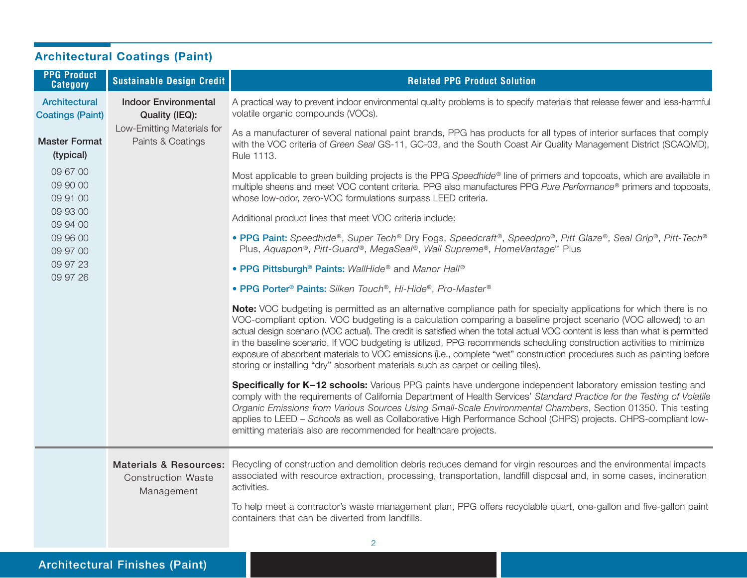|                                                                                                                   | <b>Architectural Coatings (Paint)</b>         |                                                                                                                                                                    |                                                                                                                                                                                                                                                                                                                                                                                                                                                                                                                                                                                                                                                                                                                |  |
|-------------------------------------------------------------------------------------------------------------------|-----------------------------------------------|--------------------------------------------------------------------------------------------------------------------------------------------------------------------|----------------------------------------------------------------------------------------------------------------------------------------------------------------------------------------------------------------------------------------------------------------------------------------------------------------------------------------------------------------------------------------------------------------------------------------------------------------------------------------------------------------------------------------------------------------------------------------------------------------------------------------------------------------------------------------------------------------|--|
|                                                                                                                   | <b>PPG Product</b><br><b>Category</b>         | <b>Sustainable Design Credit</b>                                                                                                                                   | <b>Related PPG Product Solution</b>                                                                                                                                                                                                                                                                                                                                                                                                                                                                                                                                                                                                                                                                            |  |
| Architectural<br><b>Coatings (Paint)</b><br><b>Master Format</b><br>(typical)<br>09 67 00<br>09 90 00<br>09 91 00 | <b>Indoor Environmental</b><br>Quality (IEQ): | A practical way to prevent indoor environmental quality problems is to specify materials that release fewer and less-harmful<br>volatile organic compounds (VOCs). |                                                                                                                                                                                                                                                                                                                                                                                                                                                                                                                                                                                                                                                                                                                |  |
|                                                                                                                   |                                               | Low-Emitting Materials for<br>Paints & Coatings                                                                                                                    | As a manufacturer of several national paint brands, PPG has products for all types of interior surfaces that comply<br>with the VOC criteria of Green Seal GS-11, GC-03, and the South Coast Air Quality Management District (SCAQMD),<br>Rule 1113.                                                                                                                                                                                                                                                                                                                                                                                                                                                           |  |
|                                                                                                                   |                                               |                                                                                                                                                                    | Most applicable to green building projects is the PPG Speedhide® line of primers and topcoats, which are available in<br>multiple sheens and meet VOC content criteria. PPG also manufactures PPG Pure Performance® primers and topcoats,<br>whose low-odor, zero-VOC formulations surpass LEED criteria.                                                                                                                                                                                                                                                                                                                                                                                                      |  |
|                                                                                                                   | 09 93 00<br>09 94 00                          |                                                                                                                                                                    | Additional product lines that meet VOC criteria include:                                                                                                                                                                                                                                                                                                                                                                                                                                                                                                                                                                                                                                                       |  |
|                                                                                                                   | 09 96 00<br>09 97 00                          |                                                                                                                                                                    | • PPG Paint: Speedhide®, Super Tech® Dry Fogs, Speedcraft®, Speedpro®, Pitt Glaze®, Seal Grip®, Pitt-Tech®<br>Plus, Aquapon®, Pitt-Guard®, MegaSeal®, Wall Supreme®, HomeVantage™ Plus                                                                                                                                                                                                                                                                                                                                                                                                                                                                                                                         |  |
|                                                                                                                   | 09 97 23<br>09 97 26                          |                                                                                                                                                                    | • PPG Pittsburgh <sup>®</sup> Paints: WallHide® and Manor Hall®                                                                                                                                                                                                                                                                                                                                                                                                                                                                                                                                                                                                                                                |  |
|                                                                                                                   |                                               |                                                                                                                                                                    | • PPG Porter <sup>®</sup> Paints: Silken Touch®, Hi-Hide®, Pro-Master®                                                                                                                                                                                                                                                                                                                                                                                                                                                                                                                                                                                                                                         |  |
|                                                                                                                   |                                               |                                                                                                                                                                    | Note: VOC budgeting is permitted as an alternative compliance path for specialty applications for which there is no<br>VOC-compliant option. VOC budgeting is a calculation comparing a baseline project scenario (VOC allowed) to an<br>actual design scenario (VOC actual). The credit is satisfied when the total actual VOC content is less than what is permitted<br>in the baseline scenario. If VOC budgeting is utilized, PPG recommends scheduling construction activities to minimize<br>exposure of absorbent materials to VOC emissions (i.e., complete "wet" construction procedures such as painting before<br>storing or installing "dry" absorbent materials such as carpet or ceiling tiles). |  |
|                                                                                                                   |                                               |                                                                                                                                                                    | Specifically for K-12 schools: Various PPG paints have undergone independent laboratory emission testing and<br>comply with the requirements of California Department of Health Services' Standard Practice for the Testing of Volatile<br>Organic Emissions from Various Sources Using Small-Scale Environmental Chambers, Section 01350. This testing<br>applies to LEED - Schools as well as Collaborative High Performance School (CHPS) projects. CHPS-compliant low-<br>emitting materials also are recommended for healthcare projects.                                                                                                                                                                 |  |
|                                                                                                                   |                                               | <b>Construction Waste</b><br>Management                                                                                                                            | Materials & Resources: Recycling of construction and demolition debris reduces demand for virgin resources and the environmental impacts<br>associated with resource extraction, processing, transportation, landfill disposal and, in some cases, incineration<br>activities.                                                                                                                                                                                                                                                                                                                                                                                                                                 |  |
|                                                                                                                   |                                               |                                                                                                                                                                    | To help meet a contractor's waste management plan, PPG offers recyclable quart, one-gallon and five-gallon paint<br>containers that can be diverted from landfills.                                                                                                                                                                                                                                                                                                                                                                                                                                                                                                                                            |  |
|                                                                                                                   |                                               |                                                                                                                                                                    | 2                                                                                                                                                                                                                                                                                                                                                                                                                                                                                                                                                                                                                                                                                                              |  |
|                                                                                                                   |                                               |                                                                                                                                                                    |                                                                                                                                                                                                                                                                                                                                                                                                                                                                                                                                                                                                                                                                                                                |  |

## **Architectural Finishes (Paint)**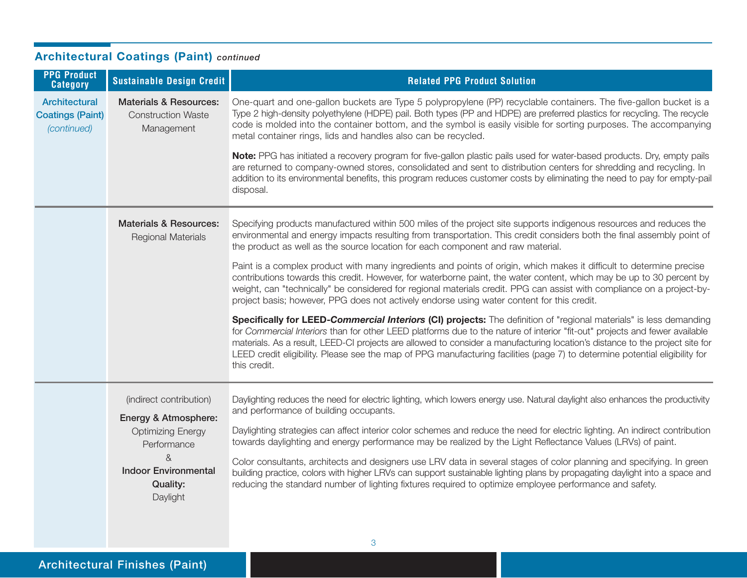| Architectural Coatings (Failit) <i>continued</i>               |                                                                                                                                                               |                                                                                                                                                                                                                                                                                                                                                                                                                                                                                                                                  |  |
|----------------------------------------------------------------|---------------------------------------------------------------------------------------------------------------------------------------------------------------|----------------------------------------------------------------------------------------------------------------------------------------------------------------------------------------------------------------------------------------------------------------------------------------------------------------------------------------------------------------------------------------------------------------------------------------------------------------------------------------------------------------------------------|--|
| <b>PPG Product</b><br><b>Category</b>                          | <b>Sustainable Design Credit</b>                                                                                                                              | <b>Related PPG Product Solution</b>                                                                                                                                                                                                                                                                                                                                                                                                                                                                                              |  |
| <b>Architectural</b><br><b>Coatings (Paint)</b><br>(continued) | <b>Materials &amp; Resources:</b><br><b>Construction Waste</b><br>Management                                                                                  | One-quart and one-gallon buckets are Type 5 polypropylene (PP) recyclable containers. The five-gallon bucket is a<br>Type 2 high-density polyethylene (HDPE) pail. Both types (PP and HDPE) are preferred plastics for recycling. The recycle<br>code is molded into the container bottom, and the symbol is easily visible for sorting purposes. The accompanying<br>metal container rings, lids and handles also can be recycled.                                                                                              |  |
|                                                                |                                                                                                                                                               | Note: PPG has initiated a recovery program for five-gallon plastic pails used for water-based products. Dry, empty pails<br>are returned to company-owned stores, consolidated and sent to distribution centers for shredding and recycling. In<br>addition to its environmental benefits, this program reduces customer costs by eliminating the need to pay for empty-pail<br>disposal.                                                                                                                                        |  |
|                                                                | <b>Materials &amp; Resources:</b><br><b>Regional Materials</b>                                                                                                | Specifying products manufactured within 500 miles of the project site supports indigenous resources and reduces the<br>environmental and energy impacts resulting from transportation. This credit considers both the final assembly point of<br>the product as well as the source location for each component and raw material.                                                                                                                                                                                                 |  |
|                                                                |                                                                                                                                                               | Paint is a complex product with many ingredients and points of origin, which makes it difficult to determine precise<br>contributions towards this credit. However, for waterborne paint, the water content, which may be up to 30 percent by<br>weight, can "technically" be considered for regional materials credit. PPG can assist with compliance on a project-by-<br>project basis; however, PPG does not actively endorse using water content for this credit.                                                            |  |
|                                                                |                                                                                                                                                               | Specifically for LEED-Commercial Interiors (CI) projects: The definition of "regional materials" is less demanding<br>for Commercial Interiors than for other LEED platforms due to the nature of interior "fit-out" projects and fewer available<br>materials. As a result, LEED-CI projects are allowed to consider a manufacturing location's distance to the project site for<br>LEED credit eligibility. Please see the map of PPG manufacturing facilities (page 7) to determine potential eligibility for<br>this credit. |  |
|                                                                | (indirect contribution)<br>Energy & Atmosphere:<br><b>Optimizing Energy</b><br>Performance<br>&<br><b>Indoor Environmental</b><br><b>Quality:</b><br>Daylight | Daylighting reduces the need for electric lighting, which lowers energy use. Natural daylight also enhances the productivity<br>and performance of building occupants.<br>Daylighting strategies can affect interior color schemes and reduce the need for electric lighting. An indirect contribution<br>towards daylighting and energy performance may be realized by the Light Reflectance Values (LRVs) of paint.                                                                                                            |  |
|                                                                |                                                                                                                                                               | Color consultants, architects and designers use LRV data in several stages of color planning and specifying. In green<br>building practice, colors with higher LRVs can support sustainable lighting plans by propagating daylight into a space and<br>reducing the standard number of lighting fixtures required to optimize employee performance and safety.                                                                                                                                                                   |  |
|                                                                |                                                                                                                                                               |                                                                                                                                                                                                                                                                                                                                                                                                                                                                                                                                  |  |

3

### **Architectural Coatings (Paint)** *continued*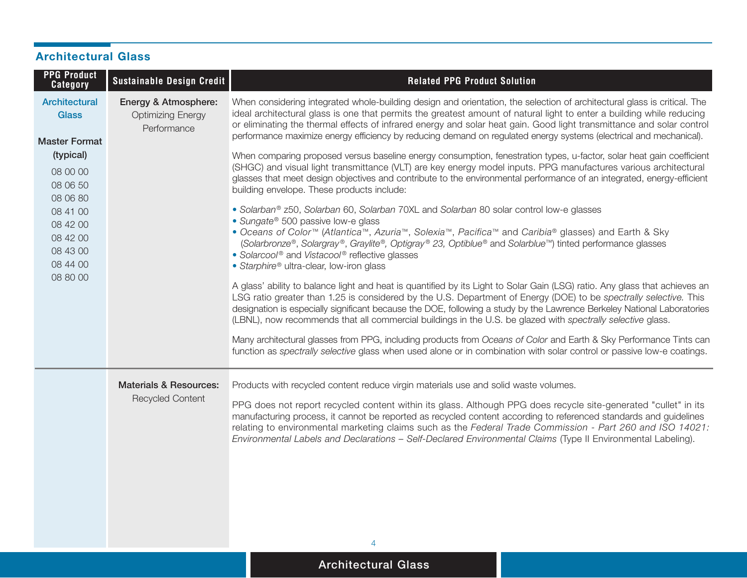| <b>Architectural Glass</b>                                                                                                                                                            |                                                                 |                                                                                                                                                                                                                                                                                                                                                                                                                                                                                                                                                                                                                                                                                                                                                                                                                                                                                                                                                                                                                                                                                                                                                                                                                                                                                                                                                                                                                                                                                                                                                                                                                                                                                                                                                                                                                                                                                                                                                                                                                                                                                                                                 |  |  |
|---------------------------------------------------------------------------------------------------------------------------------------------------------------------------------------|-----------------------------------------------------------------|---------------------------------------------------------------------------------------------------------------------------------------------------------------------------------------------------------------------------------------------------------------------------------------------------------------------------------------------------------------------------------------------------------------------------------------------------------------------------------------------------------------------------------------------------------------------------------------------------------------------------------------------------------------------------------------------------------------------------------------------------------------------------------------------------------------------------------------------------------------------------------------------------------------------------------------------------------------------------------------------------------------------------------------------------------------------------------------------------------------------------------------------------------------------------------------------------------------------------------------------------------------------------------------------------------------------------------------------------------------------------------------------------------------------------------------------------------------------------------------------------------------------------------------------------------------------------------------------------------------------------------------------------------------------------------------------------------------------------------------------------------------------------------------------------------------------------------------------------------------------------------------------------------------------------------------------------------------------------------------------------------------------------------------------------------------------------------------------------------------------------------|--|--|
| <b>PPG Product</b><br><b>Category</b>                                                                                                                                                 | Sustainable Design Credit                                       | <b>Related PPG Product Solution</b>                                                                                                                                                                                                                                                                                                                                                                                                                                                                                                                                                                                                                                                                                                                                                                                                                                                                                                                                                                                                                                                                                                                                                                                                                                                                                                                                                                                                                                                                                                                                                                                                                                                                                                                                                                                                                                                                                                                                                                                                                                                                                             |  |  |
| <b>Architectural</b><br><b>Glass</b><br><b>Master Format</b><br>(typical)<br>08 00 00<br>08 06 50<br>08 06 80<br>08 41 00<br>08 42 00<br>08 42 00<br>08 43 00<br>08 44 00<br>08 80 00 | Energy & Atmosphere:<br><b>Optimizing Energy</b><br>Performance | When considering integrated whole-building design and orientation, the selection of architectural glass is critical. The<br>ideal architectural glass is one that permits the greatest amount of natural light to enter a building while reducing<br>or eliminating the thermal effects of infrared energy and solar heat gain. Good light transmittance and solar control<br>performance maximize energy efficiency by reducing demand on regulated energy systems (electrical and mechanical).<br>When comparing proposed versus baseline energy consumption, fenestration types, u-factor, solar heat gain coefficient<br>(SHGC) and visual light transmittance (VLT) are key energy model inputs. PPG manufactures various architectural<br>glasses that meet design objectives and contribute to the environmental performance of an integrated, energy-efficient<br>building envelope. These products include:<br>· Solarban® z50, Solarban 60, Solarban 70XL and Solarban 80 solar control low-e glasses<br>• Sungate <sup>®</sup> 500 passive low-e glass<br>• Oceans of Color™ (Atlantica™, Azuria™, Solexia™, Pacifica™ and Caribia® glasses) and Earth & Sky<br>(Solarbronze®, Solargray®, Graylite®, Optigray® 23, Optiblue® and Solarblue™) tinted performance glasses<br>• Solarcool® and Vistacool® reflective glasses<br>• Starphire® ultra-clear, low-iron glass<br>A glass' ability to balance light and heat is quantified by its Light to Solar Gain (LSG) ratio. Any glass that achieves an<br>LSG ratio greater than 1.25 is considered by the U.S. Department of Energy (DOE) to be spectrally selective. This<br>designation is especially significant because the DOE, following a study by the Lawrence Berkeley National Laboratories<br>(LBNL), now recommends that all commercial buildings in the U.S. be glazed with spectrally selective glass.<br>Many architectural glasses from PPG, including products from Oceans of Color and Earth & Sky Performance Tints can<br>function as spectrally selective glass when used alone or in combination with solar control or passive low-e coatings. |  |  |
|                                                                                                                                                                                       | <b>Materials &amp; Resources:</b><br><b>Recycled Content</b>    | Products with recycled content reduce virgin materials use and solid waste volumes.<br>PPG does not report recycled content within its glass. Although PPG does recycle site-generated "cullet" in its<br>manufacturing process, it cannot be reported as recycled content according to referenced standards and guidelines<br>relating to environmental marketing claims such as the Federal Trade Commission - Part 260 and ISO 14021:<br>Environmental Labels and Declarations - Self-Declared Environmental Claims (Type II Environmental Labeling).                                                                                                                                                                                                                                                                                                                                                                                                                                                                                                                                                                                                                                                                                                                                                                                                                                                                                                                                                                                                                                                                                                                                                                                                                                                                                                                                                                                                                                                                                                                                                                        |  |  |

## **Architectural Glass**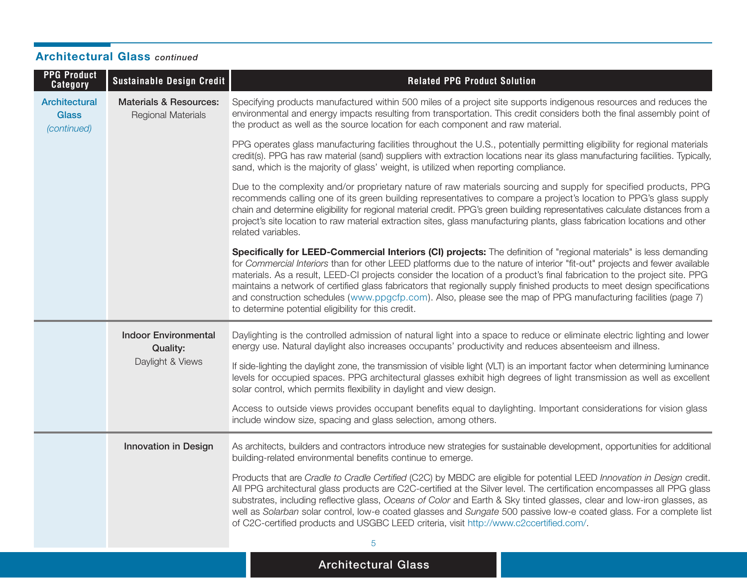| <b>PPG Product</b><br><b>Category</b>               | Sustainable Design Credit                                      | <b>Related PPG Product Solution</b>                                                                                                                                                                                                                                                                                                                                                                                                                                                                                                                                                                                                                                                 |
|-----------------------------------------------------|----------------------------------------------------------------|-------------------------------------------------------------------------------------------------------------------------------------------------------------------------------------------------------------------------------------------------------------------------------------------------------------------------------------------------------------------------------------------------------------------------------------------------------------------------------------------------------------------------------------------------------------------------------------------------------------------------------------------------------------------------------------|
| <b>Architectural</b><br><b>Glass</b><br>(continued) | <b>Materials &amp; Resources:</b><br><b>Regional Materials</b> | Specifying products manufactured within 500 miles of a project site supports indigenous resources and reduces the<br>environmental and energy impacts resulting from transportation. This credit considers both the final assembly point of<br>the product as well as the source location for each component and raw material.                                                                                                                                                                                                                                                                                                                                                      |
|                                                     |                                                                | PPG operates glass manufacturing facilities throughout the U.S., potentially permitting eligibility for regional materials<br>credit(s). PPG has raw material (sand) suppliers with extraction locations near its glass manufacturing facilities. Typically,<br>sand, which is the majority of glass' weight, is utilized when reporting compliance.                                                                                                                                                                                                                                                                                                                                |
|                                                     |                                                                | Due to the complexity and/or proprietary nature of raw materials sourcing and supply for specified products, PPG<br>recommends calling one of its green building representatives to compare a project's location to PPG's glass supply<br>chain and determine eligibility for regional material credit. PPG's green building representatives calculate distances from a<br>project's site location to raw material extraction sites, glass manufacturing plants, glass fabrication locations and other<br>related variables.                                                                                                                                                        |
|                                                     |                                                                | Specifically for LEED-Commercial Interiors (CI) projects: The definition of "regional materials" is less demanding<br>for Commercial Interiors than for other LEED platforms due to the nature of interior "fit-out" projects and fewer available<br>materials. As a result, LEED-CI projects consider the location of a product's final fabrication to the project site. PPG<br>maintains a network of certified glass fabricators that regionally supply finished products to meet design specifications<br>and construction schedules (www.ppgcfp.com). Also, please see the map of PPG manufacturing facilities (page 7)<br>to determine potential eligibility for this credit. |
|                                                     | <b>Indoor Environmental</b><br><b>Quality:</b>                 | Daylighting is the controlled admission of natural light into a space to reduce or eliminate electric lighting and lower<br>energy use. Natural daylight also increases occupants' productivity and reduces absenteeism and illness.                                                                                                                                                                                                                                                                                                                                                                                                                                                |
|                                                     | Daylight & Views                                               | If side-lighting the daylight zone, the transmission of visible light (VLT) is an important factor when determining luminance<br>levels for occupied spaces. PPG architectural glasses exhibit high degrees of light transmission as well as excellent<br>solar control, which permits flexibility in daylight and view design.                                                                                                                                                                                                                                                                                                                                                     |
|                                                     |                                                                | Access to outside views provides occupant benefits equal to daylighting. Important considerations for vision glass<br>include window size, spacing and glass selection, among others.                                                                                                                                                                                                                                                                                                                                                                                                                                                                                               |
|                                                     | <b>Innovation in Design</b>                                    | As architects, builders and contractors introduce new strategies for sustainable development, opportunities for additional<br>building-related environmental benefits continue to emerge.                                                                                                                                                                                                                                                                                                                                                                                                                                                                                           |
|                                                     |                                                                | Products that are Cradle to Cradle Certified (C2C) by MBDC are eligible for potential LEED Innovation in Design credit.<br>All PPG architectural glass products are C2C-certified at the Silver level. The certification encompasses all PPG glass<br>substrates, including reflective glass, Oceans of Color and Earth & Sky tinted glasses, clear and low-iron glasses, as<br>well as Solarban solar control, low-e coated glasses and Sungate 500 passive low-e coated glass. For a complete list<br>of C2C-certified products and USGBC LEED criteria, visit http://www.c2ccertified.com/.                                                                                      |
|                                                     |                                                                | 5                                                                                                                                                                                                                                                                                                                                                                                                                                                                                                                                                                                                                                                                                   |

### **Architectural Glass** *continued*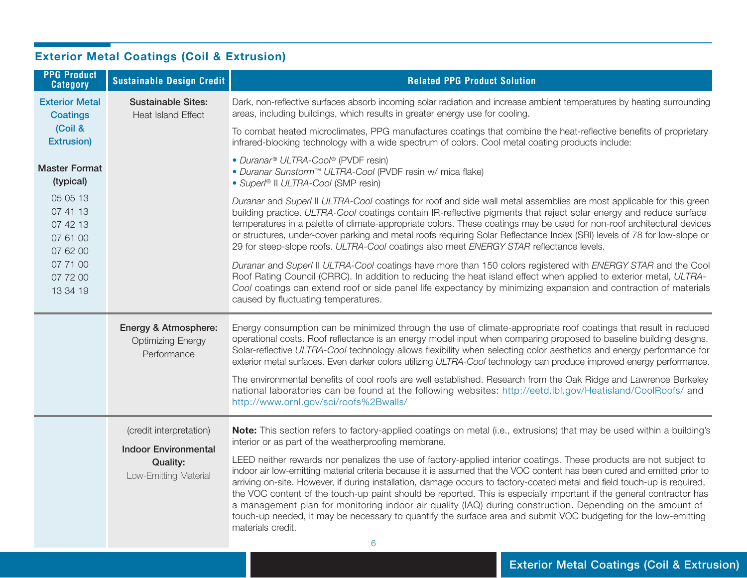| <b>PPG Product</b><br><b>Category</b>                    | <b>Sustainable Design Credit</b>                                                                   | <b>Related PPG Product Solution</b>                                                                                                                                                                                                                                                                                                                                                                                                                                                                                                                                                                                                                                                                                                                                                                                                                                                                                                       |
|----------------------------------------------------------|----------------------------------------------------------------------------------------------------|-------------------------------------------------------------------------------------------------------------------------------------------------------------------------------------------------------------------------------------------------------------------------------------------------------------------------------------------------------------------------------------------------------------------------------------------------------------------------------------------------------------------------------------------------------------------------------------------------------------------------------------------------------------------------------------------------------------------------------------------------------------------------------------------------------------------------------------------------------------------------------------------------------------------------------------------|
| <b>Exterior Metal</b><br><b>Coatings</b>                 | <b>Sustainable Sites:</b><br><b>Heat Island Effect</b>                                             | Dark, non-reflective surfaces absorb incoming solar radiation and increase ambient temperatures by heating surrounding<br>areas, including buildings, which results in greater energy use for cooling.                                                                                                                                                                                                                                                                                                                                                                                                                                                                                                                                                                                                                                                                                                                                    |
| (Coil &<br><b>Extrusion)</b>                             |                                                                                                    | To combat heated microclimates, PPG manufactures coatings that combine the heat-reflective benefits of proprietary<br>infrared-blocking technology with a wide spectrum of colors. Cool metal coating products include:                                                                                                                                                                                                                                                                                                                                                                                                                                                                                                                                                                                                                                                                                                                   |
| <b>Master Format</b><br>(typical)                        |                                                                                                    | • Duranar <sup>®</sup> ULTRA-Cool <sup>®</sup> (PVDF resin)<br>· Duranar Sunstorm™ ULTRA-Cool (PVDF resin w/ mica flake)<br>• Superl® II ULTRA-Cool (SMP resin)                                                                                                                                                                                                                                                                                                                                                                                                                                                                                                                                                                                                                                                                                                                                                                           |
| 05 05 13<br>07 41 13<br>07 42 13<br>07 61 00<br>07 62 00 |                                                                                                    | Duranar and Superl II ULTRA-Cool coatings for roof and side wall metal assemblies are most applicable for this green<br>building practice. ULTRA-Cool coatings contain IR-reflective pigments that reject solar energy and reduce surface<br>temperatures in a palette of climate-appropriate colors. These coatings may be used for non-roof architectural devices<br>or structures, under-cover parking and metal roofs requiring Solar Reflectance Index (SRI) levels of 78 for low-slope or<br>29 for steep-slope roofs. ULTRA-Cool coatings also meet ENERGY STAR reflectance levels.                                                                                                                                                                                                                                                                                                                                                |
| 07 71 00<br>07 72 00<br>13 34 19                         |                                                                                                    | Duranar and Superl II ULTRA-Cool coatings have more than 150 colors registered with ENERGY STAR and the Cool<br>Roof Rating Council (CRRC). In addition to reducing the heat island effect when applied to exterior metal, ULTRA-<br>Cool coatings can extend roof or side panel life expectancy by minimizing expansion and contraction of materials<br>caused by fluctuating temperatures.                                                                                                                                                                                                                                                                                                                                                                                                                                                                                                                                              |
|                                                          | Energy & Atmosphere:<br><b>Optimizing Energy</b><br>Performance                                    | Energy consumption can be minimized through the use of climate-appropriate roof coatings that result in reduced<br>operational costs. Roof reflectance is an energy model input when comparing proposed to baseline building designs.<br>Solar-reflective ULTRA-Cool technology allows flexibility when selecting color aesthetics and energy performance for<br>exterior metal surfaces. Even darker colors utilizing ULTRA-Cool technology can produce improved energy performance.                                                                                                                                                                                                                                                                                                                                                                                                                                                     |
|                                                          |                                                                                                    | The environmental benefits of cool roofs are well established. Research from the Oak Ridge and Lawrence Berkeley<br>national laboratories can be found at the following websites: http://eetd.lbl.gov/Heatisland/CoolRoofs/ and<br>http://www.ornl.gov/sci/roofs%2Bwalls/                                                                                                                                                                                                                                                                                                                                                                                                                                                                                                                                                                                                                                                                 |
|                                                          | (credit interpretation)<br><b>Indoor Environmental</b><br><b>Quality:</b><br>Low-Emitting Material | Note: This section refers to factory-applied coatings on metal (i.e., extrusions) that may be used within a building's<br>interior or as part of the weatherproofing membrane.<br>LEED neither rewards nor penalizes the use of factory-applied interior coatings. These products are not subject to<br>indoor air low-emitting material criteria because it is assumed that the VOC content has been cured and emitted prior to<br>arriving on-site. However, if during installation, damage occurs to factory-coated metal and field touch-up is required,<br>the VOC content of the touch-up paint should be reported. This is especially important if the general contractor has<br>a management plan for monitoring indoor air quality (IAQ) during construction. Depending on the amount of<br>touch-up needed, it may be necessary to quantify the surface area and submit VOC budgeting for the low-emitting<br>materials credit. |
|                                                          |                                                                                                    | 6                                                                                                                                                                                                                                                                                                                                                                                                                                                                                                                                                                                                                                                                                                                                                                                                                                                                                                                                         |

## **Exterior Metal Coatings (Coil & Extrusion)**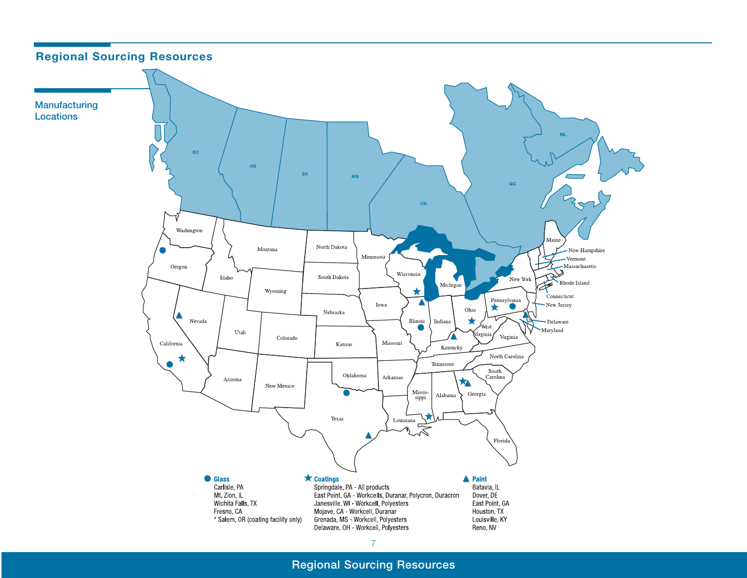

**Regional Sourcing Resources**